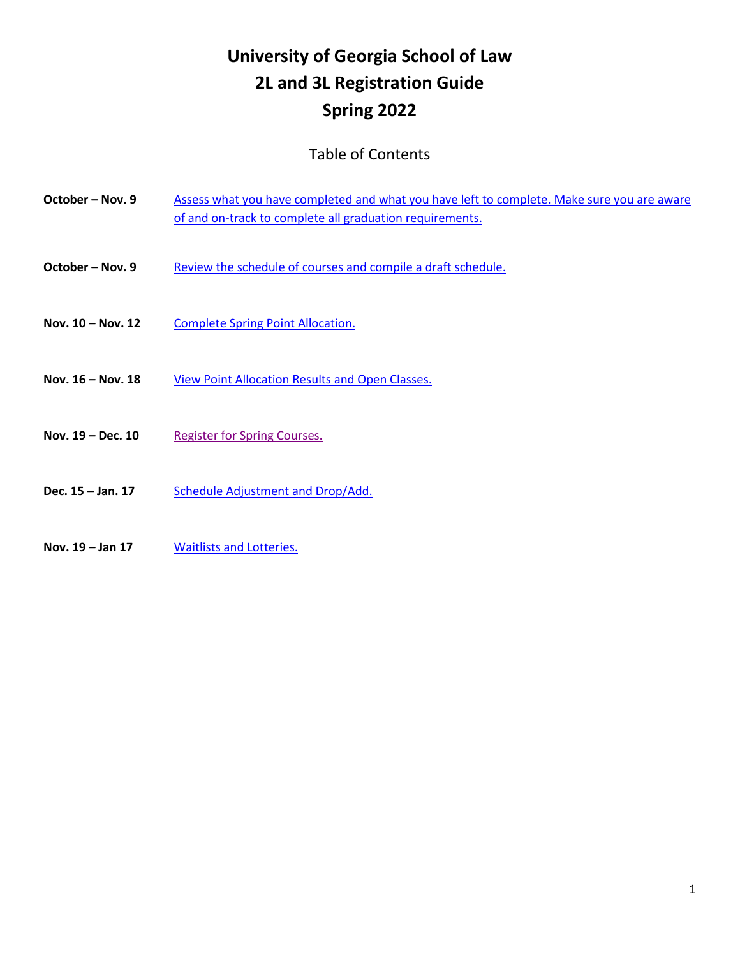# **University of Georgia School of Law 2L and 3L Registration Guide Spring 2022**

# Table of Contents

| October - Nov. 9    | Assess what you have completed and what you have left to complete. Make sure you are aware<br>of and on-track to complete all graduation requirements. |
|---------------------|--------------------------------------------------------------------------------------------------------------------------------------------------------|
| October - Nov. 9    | Review the schedule of courses and compile a draft schedule.                                                                                           |
| Nov. 10 - Nov. 12   | <b>Complete Spring Point Allocation.</b>                                                                                                               |
| Nov. $16 - Nov. 18$ | View Point Allocation Results and Open Classes.                                                                                                        |
| Nov. 19 - Dec. 10   | <b>Register for Spring Courses.</b>                                                                                                                    |
| Dec. 15 - Jan. 17   | Schedule Adjustment and Drop/Add.                                                                                                                      |
| Nov. $19 - Jan 17$  | <b>Waitlists and Lotteries.</b>                                                                                                                        |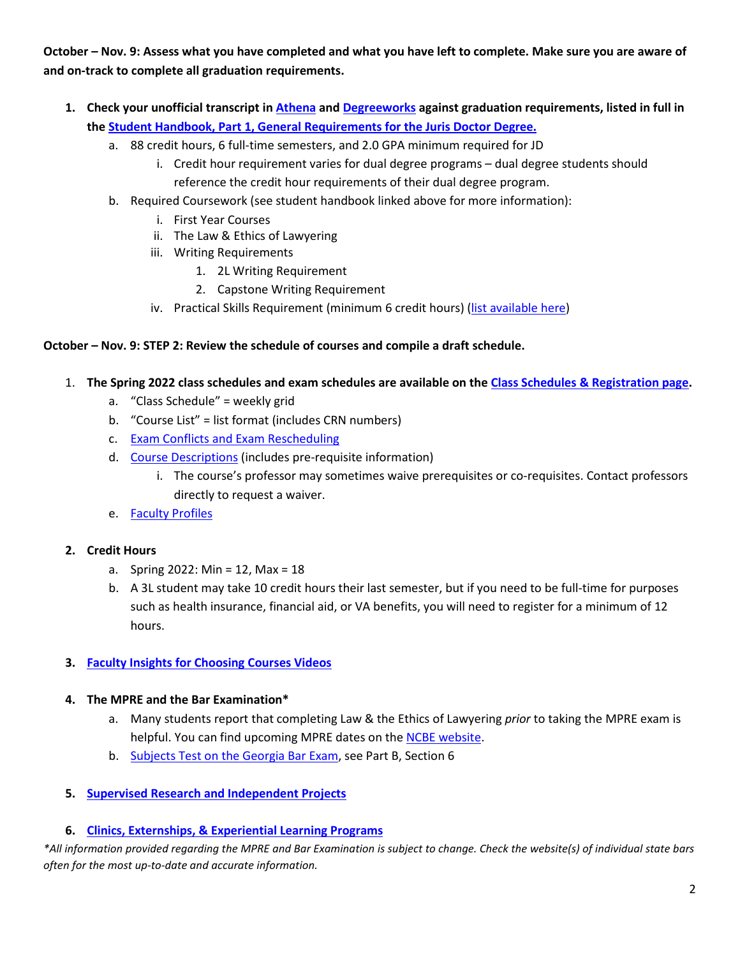<span id="page-1-0"></span>**October – Nov. 9: Assess what you have completed and what you have left to complete. Make sure you are aware of and on-track to complete all graduation requirements.**

- **1. Check your unofficial transcript i[n Athena](http://athena.uga.edu/) and [Degreeworks](https://degreeworks.uga.edu/) against graduation requirements, listed in full in th[e Student Handbook, Part 1, General Requirements for the Juris Doctor Degree.](http://www.law.uga.edu/student-handbook-contents#General%20Requirements%20for%20the%20Juris%20Doctor%20Degree)**
	- a. 88 credit hours, 6 full-time semesters, and 2.0 GPA minimum required for JD
		- i. Credit hour requirement varies for dual degree programs dual degree students should reference the credit hour requirements of their dual degree program.
	- b. Required Coursework (see student handbook linked above for more information):
		- i. First Year Courses
		- ii. The Law & Ethics of Lawyering
		- iii. Writing Requirements
			- 1. 2L Writing Requirement
			- 2. Capstone Writing Requirement
		- iv. Practical Skills Requirement (minimum 6 credit hours) [\(list available here\)](https://www.law.uga.edu/sites/default/files/u611/Practical%20Skills%2007.09.2021.pdf)

# <span id="page-1-1"></span>**October – Nov. 9: STEP 2: Review the schedule of courses and compile a draft schedule.**

- 1. **The Spring 2022 class schedules and exam schedules are available on the [Class Schedules & Registration page.](http://www.law.uga.edu/class-schedules-registration)**
	- a. "Class Schedule" = weekly grid
	- b. "Course List" = list format (includes CRN numbers)
	- c. [Exam Conflicts and Exam Rescheduling](http://www.law.uga.edu/student-handbook-contents#part5)
	- d. [Course Descriptions](http://www.law.uga.edu/course-offerings) (includes pre-requisite information)
		- i. The course's professor may sometimes waive prerequisites or co-requisites. Contact professors directly to request a waiver.
	- e. [Faculty Profiles](http://law.uga.edu/faculty-profiles)

#### **2. Credit Hours**

- a. Spring 2022: Min = 12, Max = 18
- b. A 3L student may take 10 credit hours their last semester, but if you need to be full-time for purposes such as health insurance, financial aid, or VA benefits, you will need to register for a minimum of 12 hours.
- **3. [Faculty Insights for Choosing Courses Videos](http://www.law.uga.edu/faculty-insights-choosing-courses)**

#### **4. The MPRE and the Bar Examination\***

- a. Many students report that completing Law & the Ethics of Lawyering *prior* to taking the MPRE exam is helpful. You can find upcoming MPRE dates on the [NCBE website.](http://www.ncbex.org/exams/mpre/registration/)
- b. [Subjects Test on the Georgia Bar Exam,](https://www.gabaradmissions.org/rules-governing-admission) see Part B, Section 6

## **5. [Supervised Research and Independent Projects](http://www.law.uga.edu/student-handbook-contents#supervised%20research)**

## **6. [Clinics, Externships, & Experiential Learning Programs](https://www.law.uga.edu/clinics-externships-and-experiential-learning-programs)**

*\*All information provided regarding the MPRE and Bar Examination is subject to change. Check the website(s) of individual state bars often for the most up-to-date and accurate information.*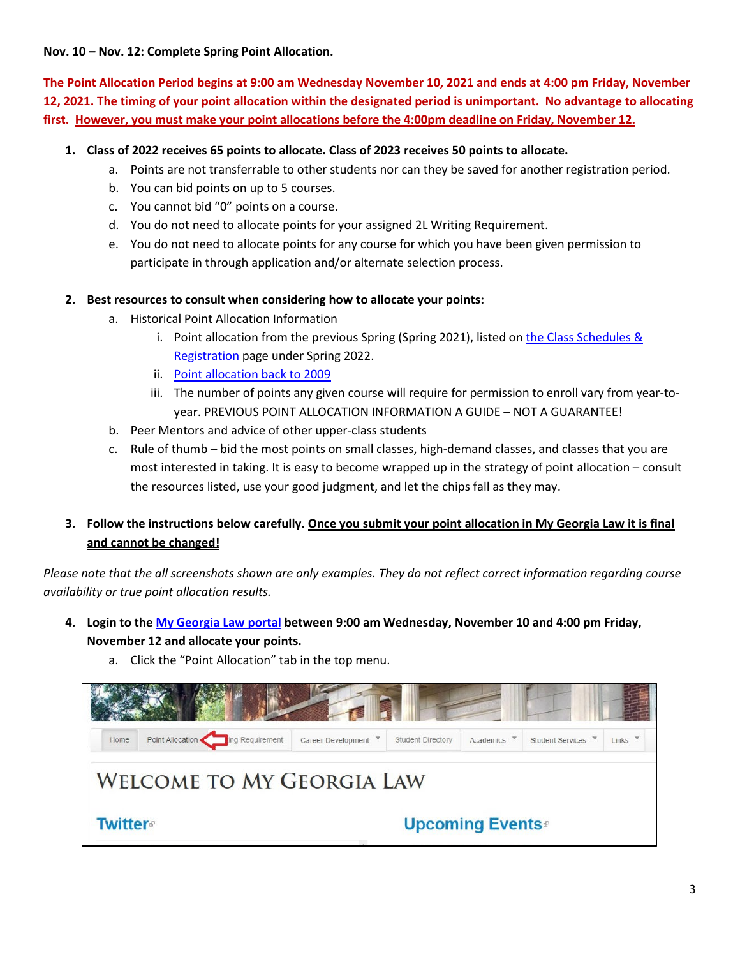# <span id="page-2-0"></span>**Nov. 10 – Nov. 12: Complete Spring Point Allocation.**

**The Point Allocation Period begins at 9:00 am Wednesday November 10, 2021 and ends at 4:00 pm Friday, November 12, 2021. The timing of your point allocation within the designated period is unimportant. No advantage to allocating first. However, you must make your point allocations before the 4:00pm deadline on Friday, November 12.**

# **1. Class of 2022 receives 65 points to allocate. Class of 2023 receives 50 points to allocate.**

- a. Points are not transferrable to other students nor can they be saved for another registration period.
- b. You can bid points on up to 5 courses.
- c. You cannot bid "0" points on a course.
- d. You do not need to allocate points for your assigned 2L Writing Requirement.
- e. You do not need to allocate points for any course for which you have been given permission to participate in through application and/or alternate selection process.

## **2. Best resources to consult when considering how to allocate your points:**

- a. Historical Point Allocation Information
	- i. Point allocation from the previous Spring (Spring 2021), listed on [the Class Schedules &](http://law.uga.edu/class-schedules-registration)  [Registration](http://law.uga.edu/class-schedules-registration) page under Spring 2022.
	- ii. [Point allocation back to 2009](http://digitalcommons.law.uga.edu/semester/)
	- iii. The number of points any given course will require for permission to enroll vary from year-toyear. PREVIOUS POINT ALLOCATION INFORMATION A GUIDE – NOT A GUARANTEE!
- b. Peer Mentors and advice of other upper-class students
- c. Rule of thumb bid the most points on small classes, high-demand classes, and classes that you are most interested in taking. It is easy to become wrapped up in the strategy of point allocation – consult the resources listed, use your good judgment, and let the chips fall as they may.

# **3. Follow the instructions below carefully. Once you submit your point allocation in My Georgia Law it is final and cannot be changed!**

*Please note that the all screenshots shown are only examples. They do not reflect correct information regarding course availability or true point allocation results.*

**4. Login to the [My Georgia Law portal](http://portal.law.uga.edu/) between 9:00 am Wednesday, November 10 and 4:00 pm Friday, November 12 and allocate your points.**



a. Click the "Point Allocation" tab in the top menu.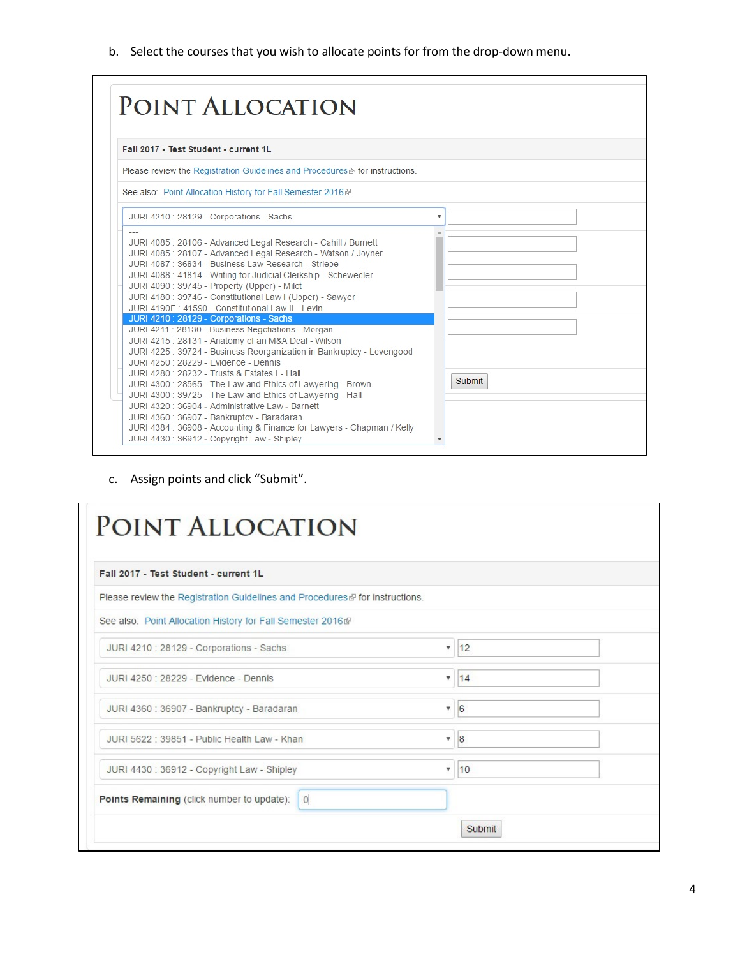b. Select the courses that you wish to allocate points for from the drop-down menu.

c. Assign points and click "Submit".

| POINT ALLOCATION                                                             |                 |  |
|------------------------------------------------------------------------------|-----------------|--|
| Fall 2017 - Test Student - current 1L                                        |                 |  |
| Please review the Registration Guidelines and Procedures ® for instructions. |                 |  |
| See also: Point Allocation History for Fall Semester 2016@                   |                 |  |
| JURI 4210 : 28129 - Corporations - Sachs                                     | ۷.<br>12        |  |
| JURI 4250 : 28229 - Evidence - Dennis                                        | $\mathbf{v}$ 14 |  |
| JURI 4360 : 36907 - Bankruptcy - Baradaran                                   | 6<br>v.         |  |
| JURI 5622 : 39851 - Public Health Law - Khan                                 | 8<br>۷.         |  |
| JURI 4430 : 36912 - Copyright Law - Shipley                                  | $\mathbf{v}$ 10 |  |
| Points Remaining (click number to update):<br> 0                             |                 |  |
|                                                                              | Submit          |  |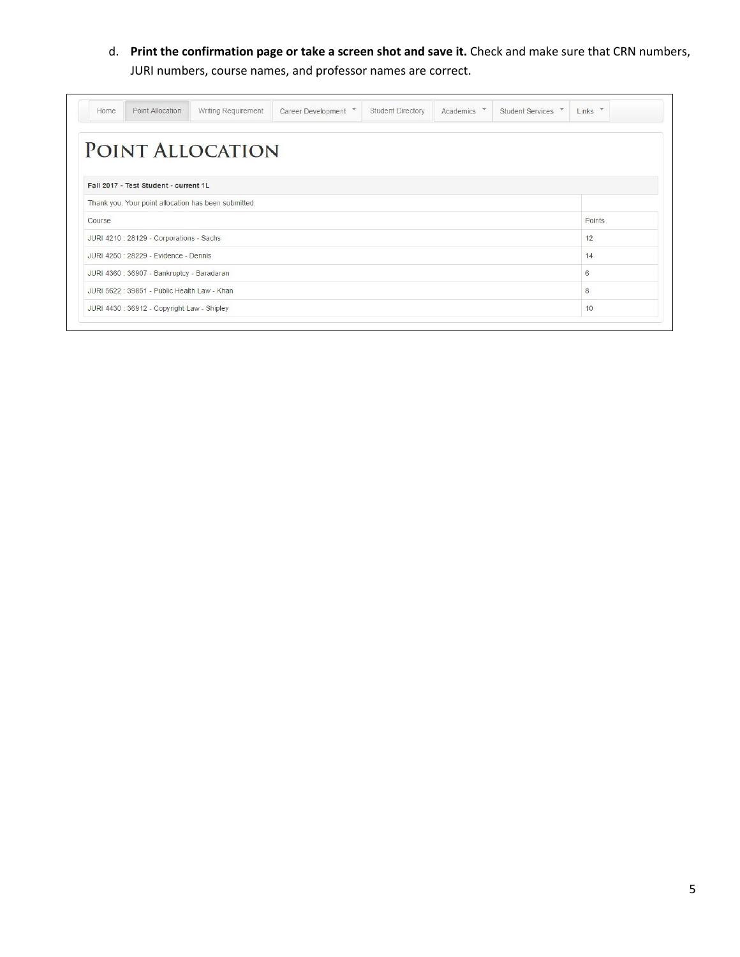d. **Print the confirmation page or take a screen shot and save it.** Check and make sure that CRN numbers, JURI numbers, course names, and professor names are correct.

| Home   | Point Allocation                             | Writing Requirement                                  | Career Development V | Student Directory | Academics <b>V</b> | Student Services | $\mathbf{v}$<br>Links |
|--------|----------------------------------------------|------------------------------------------------------|----------------------|-------------------|--------------------|------------------|-----------------------|
|        |                                              | POINT ALLOCATION                                     |                      |                   |                    |                  |                       |
|        |                                              |                                                      |                      |                   |                    |                  |                       |
|        | Fall 2017 - Test Student - current 1L        |                                                      |                      |                   |                    |                  |                       |
|        |                                              | Thank you. Your point allocation has been submitted. |                      |                   |                    |                  |                       |
| Course |                                              |                                                      |                      |                   |                    |                  | Points                |
|        | JURI 4210 : 28129 - Corporations - Sachs     |                                                      |                      |                   |                    |                  | 12                    |
|        | JURI 4250 : 28229 - Evidence - Dennis        |                                                      |                      |                   |                    |                  | 14                    |
|        | JURI 4360 : 36907 - Bankruptcy - Baradaran   |                                                      |                      |                   |                    |                  | 6                     |
|        | JURI 5622 : 39851 - Public Health Law - Khan |                                                      |                      |                   |                    |                  | 8                     |
|        | JURI 4430 : 36912 - Copyright Law - Shipley  |                                                      |                      |                   |                    |                  | 10                    |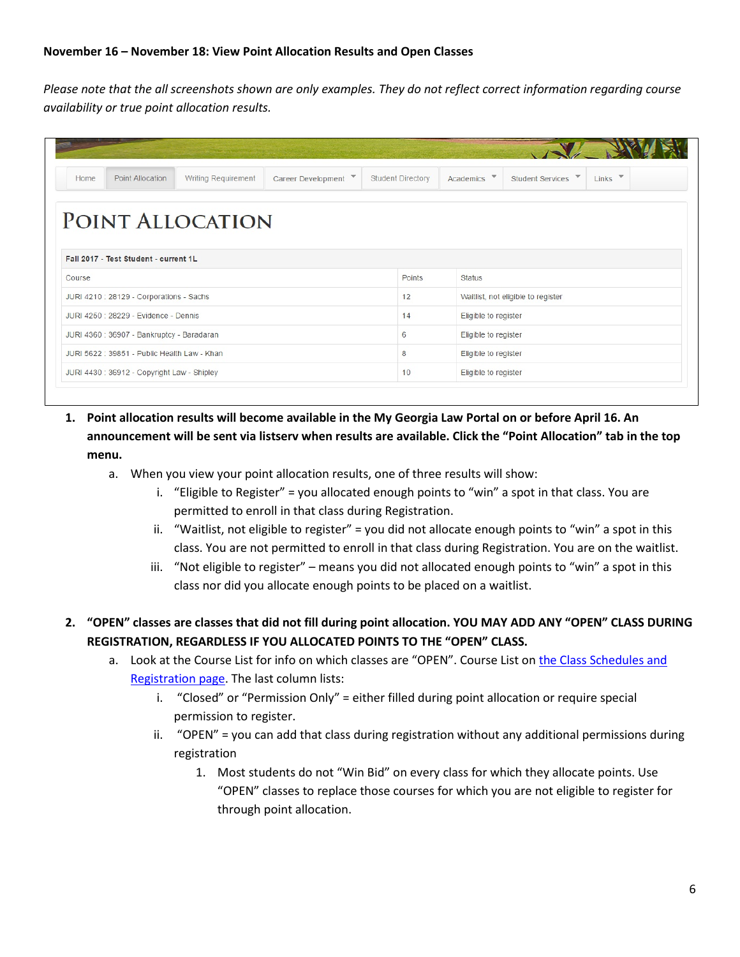<span id="page-5-0"></span>*Please note that the all screenshots shown are only examples. They do not reflect correct information regarding course availability or true point allocation results.*

| Home   | <b>Point Allocation</b>                      | Writing Requirement | Career Development V | <b>Student Directory</b> | Academics V          | $\overline{\phantom{a}}$<br><b>Student Services</b> | $Links$ $\rightarrow$ |  |  |
|--------|----------------------------------------------|---------------------|----------------------|--------------------------|----------------------|-----------------------------------------------------|-----------------------|--|--|
|        |                                              |                     |                      |                          |                      |                                                     |                       |  |  |
|        |                                              | POINT ALLOCATION    |                      |                          |                      |                                                     |                       |  |  |
|        |                                              |                     |                      |                          |                      |                                                     |                       |  |  |
|        | Fall 2017 - Test Student - current 1L        |                     |                      |                          |                      |                                                     |                       |  |  |
| Course |                                              |                     |                      |                          |                      | <b>Status</b>                                       |                       |  |  |
|        |                                              |                     |                      | Points                   |                      |                                                     |                       |  |  |
|        |                                              |                     |                      | 12                       |                      |                                                     |                       |  |  |
|        | JURI 4210 : 28129 - Corporations - Sachs     |                     |                      |                          |                      | Waitlist, not eligible to register                  |                       |  |  |
|        | JURI 4250 : 28229 - Evidence - Dennis        |                     |                      | 14                       | Eligible to register |                                                     |                       |  |  |
|        | JURI 4360 : 36907 - Bankruptcy - Baradaran   |                     |                      | 6                        | Eligible to register |                                                     |                       |  |  |
|        | JURI 5622 : 39851 - Public Health Law - Khan |                     |                      | 8                        | Eligible to register |                                                     |                       |  |  |

- **1. Point allocation results will become available in the My Georgia Law Portal on or before April 16. An announcement will be sent via listserv when results are available. Click the "Point Allocation" tab in the top menu.**
	- a. When you view your point allocation results, one of three results will show:
		- i. "Eligible to Register" = you allocated enough points to "win" a spot in that class. You are permitted to enroll in that class during Registration.
		- ii. "Waitlist, not eligible to register" = you did not allocate enough points to "win" a spot in this class. You are not permitted to enroll in that class during Registration. You are on the waitlist.
		- iii. "Not eligible to register" means you did not allocated enough points to "win" a spot in this class nor did you allocate enough points to be placed on a waitlist.
- **2. "OPEN" classes are classes that did not fill during point allocation. YOU MAY ADD ANY "OPEN" CLASS DURING REGISTRATION, REGARDLESS IF YOU ALLOCATED POINTS TO THE "OPEN" CLASS.**
	- a. Look at the Course List for info on which classes are "OPEN". Course List on the Class Schedules and [Registration page.](http://law.uga.edu/class-schedules-registration) The last column lists:
		- i. "Closed" or "Permission Only" = either filled during point allocation or require special permission to register.
		- ii. "OPEN" = you can add that class during registration without any additional permissions during registration
			- 1. Most students do not "Win Bid" on every class for which they allocate points. Use "OPEN" classes to replace those courses for which you are not eligible to register for through point allocation.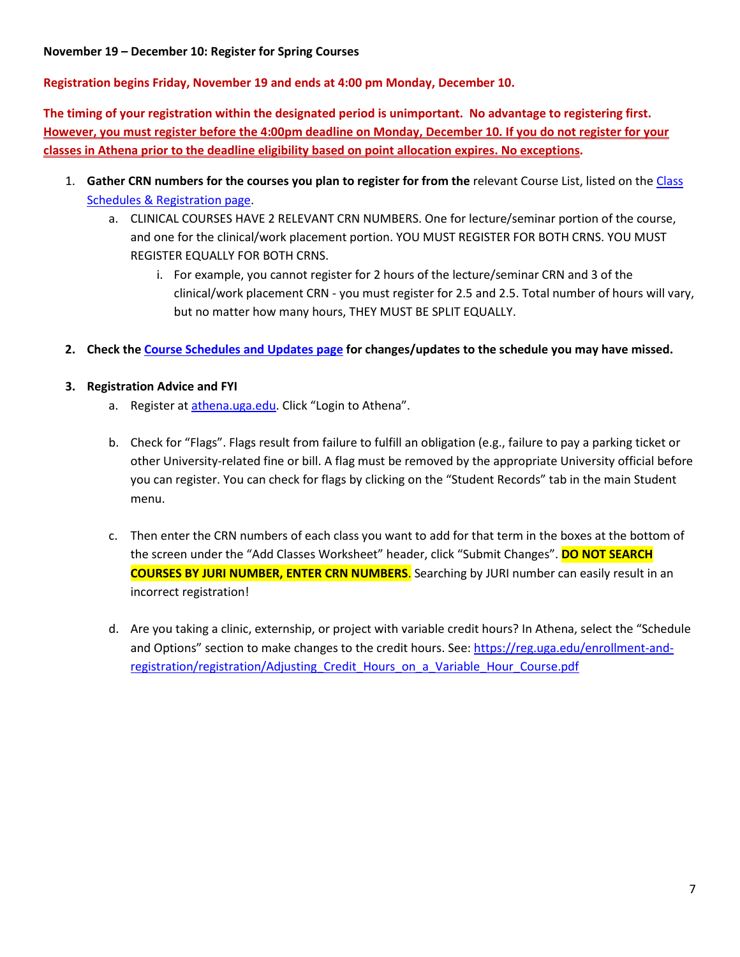<span id="page-6-0"></span>**November 19 – December 10: Register for Spring Courses**

**Registration begins Friday, November 19 and ends at 4:00 pm Monday, December 10.**

**The timing of your registration within the designated period is unimportant. No advantage to registering first. However, you must register before the 4:00pm deadline on Monday, December 10. If you do not register for your classes in Athena prior to the deadline eligibility based on point allocation expires. No exceptions.**

- 1. **Gather CRN numbers for the courses you plan to register for from the** relevant Course List, listed on the [Class](http://www.law.uga.edu/class-schedules-registration)  [Schedules & Registration page.](http://www.law.uga.edu/class-schedules-registration)
	- a. CLINICAL COURSES HAVE 2 RELEVANT CRN NUMBERS. One for lecture/seminar portion of the course, and one for the clinical/work placement portion. YOU MUST REGISTER FOR BOTH CRNS. YOU MUST REGISTER EQUALLY FOR BOTH CRNS.
		- i. For example, you cannot register for 2 hours of the lecture/seminar CRN and 3 of the clinical/work placement CRN - you must register for 2.5 and 2.5. Total number of hours will vary, but no matter how many hours, THEY MUST BE SPLIT EQUALLY.
- **2. Check th[e Course Schedules and Updates page](http://law.uga.edu/2015-2016-course-and-schedule-updates) for changes/updates to the schedule you may have missed.**
- **3. Registration Advice and FYI**
	- a. Register at [athena.uga.edu.](http://www.athena.uga.edu/) Click "Login to Athena".
	- b. Check for "Flags". Flags result from failure to fulfill an obligation (e.g., failure to pay a parking ticket or other University-related fine or bill. A flag must be removed by the appropriate University official before you can register. You can check for flags by clicking on the "Student Records" tab in the main Student menu.
	- c. Then enter the CRN numbers of each class you want to add for that term in the boxes at the bottom of the screen under the "Add Classes Worksheet" header, click "Submit Changes". **DO NOT SEARCH COURSES BY JURI NUMBER, ENTER CRN NUMBERS**. Searching by JURI number can easily result in an incorrect registration!
	- d. Are you taking a clinic, externship, or project with variable credit hours? In Athena, select the "Schedule and Options" section to make changes to the credit hours. See: [https://reg.uga.edu/enrollment-and](https://reg.uga.edu/enrollment-and-registration/registration/Adjusting_Credit_Hours_on_a_Variable_Hour_Course.pdf)[registration/registration/Adjusting\\_Credit\\_Hours\\_on\\_a\\_Variable\\_Hour\\_Course.pdf](https://reg.uga.edu/enrollment-and-registration/registration/Adjusting_Credit_Hours_on_a_Variable_Hour_Course.pdf)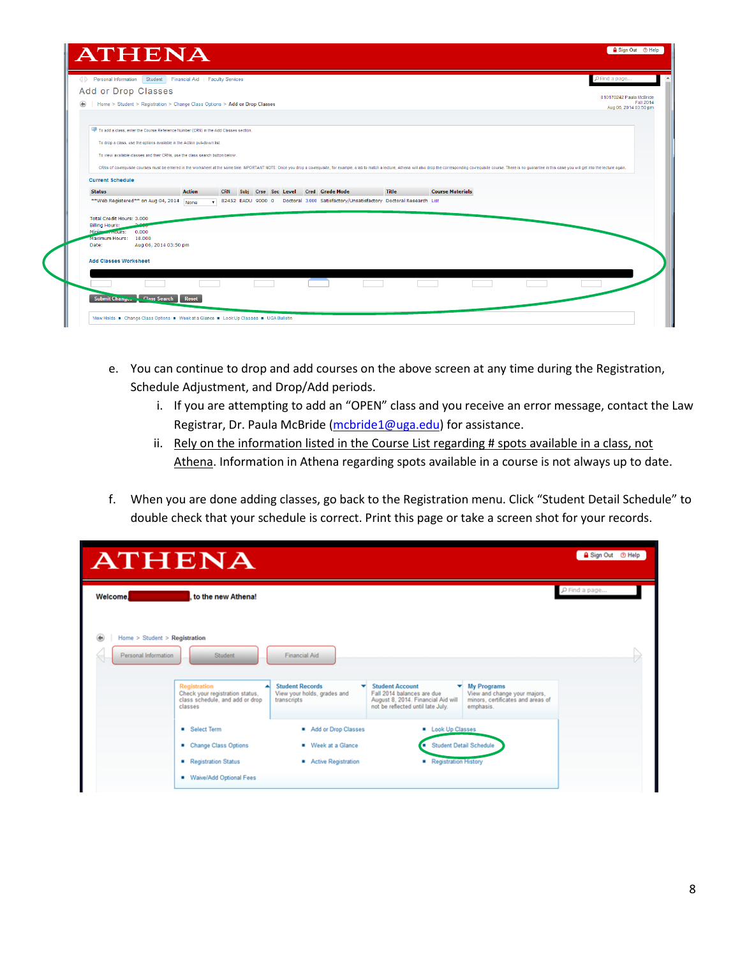| ← Personal Information   Student   Financial Aid   Faculty Services                                                |                                                                                                                                                          |                                                                                                                                  |       |                         |                                                                                                                                                                                                                                | PFind a page                                                  |
|--------------------------------------------------------------------------------------------------------------------|----------------------------------------------------------------------------------------------------------------------------------------------------------|----------------------------------------------------------------------------------------------------------------------------------|-------|-------------------------|--------------------------------------------------------------------------------------------------------------------------------------------------------------------------------------------------------------------------------|---------------------------------------------------------------|
| Add or Drop Classes<br>⊛                                                                                           | Home > Student > Registration > Change Class Options > Add or Drop Classes                                                                               |                                                                                                                                  |       |                         |                                                                                                                                                                                                                                | 810170242 Paula McBride<br>Fall 2014<br>Aug 06, 2014 03:50 pm |
| To add a class, enter the Course Reference Number (CRN) in the Add Classes section.                                | To drop a class, use the options available in the Action pull-down list.<br>To view available classes and their CRNs, use the class search button below. |                                                                                                                                  |       |                         |                                                                                                                                                                                                                                |                                                               |
| <b>Current Schedule</b><br><b>Status</b><br>**Web Registered** on Aug 04, 2014 None                                | <b>Action</b>                                                                                                                                            | CRN Subj Crse Sec Level Cred Grade Mode<br>▼ 82452 EADU 9000 0 Doctoral 3.000 Satisfactory/Unsatisfactory Doctoral Research List | Title | <b>Course Materials</b> | CRNs of co-requisite courses must be entered in the worksheet at the same time. MPORTANT NOTE: Once you drop a co-requisite, for example, a lab to match a lecture, Athena will also drop the corresponding co-requisite cours |                                                               |
| Total Credit Hours: 3.000<br><b>Billing Hours:</b><br>Minimum mours:<br>0.000<br>Maximum Hours:<br>18,000<br>Date: | Aug 06, 2014 03:50 pm                                                                                                                                    |                                                                                                                                  |       |                         |                                                                                                                                                                                                                                |                                                               |
| <b>Add Classes Worksheet</b>                                                                                       |                                                                                                                                                          |                                                                                                                                  |       |                         |                                                                                                                                                                                                                                |                                                               |
| Submit Changes Class Search Reset                                                                                  |                                                                                                                                                          |                                                                                                                                  |       |                         |                                                                                                                                                                                                                                |                                                               |

- e. You can continue to drop and add courses on the above screen at any time during the Registration, Schedule Adjustment, and Drop/Add periods.
	- i. If you are attempting to add an "OPEN" class and you receive an error message, contact the Law Registrar, Dr. Paula McBride [\(mcbride1@uga.edu\)](mailto:mcbride1@uga.edu) for assistance.
	- ii. Rely on the information listed in the Course List regarding # spots available in a class, not Athena. Information in Athena regarding spots available in a course is not always up to date.
- f. When you are done adding classes, go back to the Registration menu. Click "Student Detail Schedule" to double check that your schedule is correct. Print this page or take a screen shot for your records.

| <b>ATHENA</b>                                       |                                                                                               |                                                                           |                                                                                                                                      |                                                                                                      | Sign Out + Help    |  |
|-----------------------------------------------------|-----------------------------------------------------------------------------------------------|---------------------------------------------------------------------------|--------------------------------------------------------------------------------------------------------------------------------------|------------------------------------------------------------------------------------------------------|--------------------|--|
| <b>Welcome</b><br>Home $>$ Student $>$ Registration | to the new Athena!                                                                            |                                                                           |                                                                                                                                      |                                                                                                      | $\rho$ Find a page |  |
| Personal Information                                | Student                                                                                       | <b>Financial Aid</b>                                                      |                                                                                                                                      |                                                                                                      |                    |  |
|                                                     | Registration<br>Check your registration status,<br>class schedule, and add or drop<br>classes | <b>Student Records</b><br>۰<br>View your holds, grades and<br>transcripts | <b>Student Account</b><br>▼<br>Fall 2014 balances are due<br>August 8, 2014. Financial Aid will<br>not be reflected until late July. | <b>My Programs</b><br>View and change your majors,<br>minors, certificates and areas of<br>emphasis. |                    |  |
|                                                     | <b>B</b> Select Term                                                                          | Add or Drop Classes                                                       | <b>E</b> Look Up Classes                                                                                                             |                                                                                                      |                    |  |
|                                                     | Change Class Options                                                                          | Week at a Glance                                                          | <b>Student Detail Schedule</b><br>œ                                                                                                  |                                                                                                      |                    |  |
|                                                     | Registration Status<br>■ Waive/Add Optional Fees                                              | Active Registration                                                       | Registration History                                                                                                                 |                                                                                                      |                    |  |